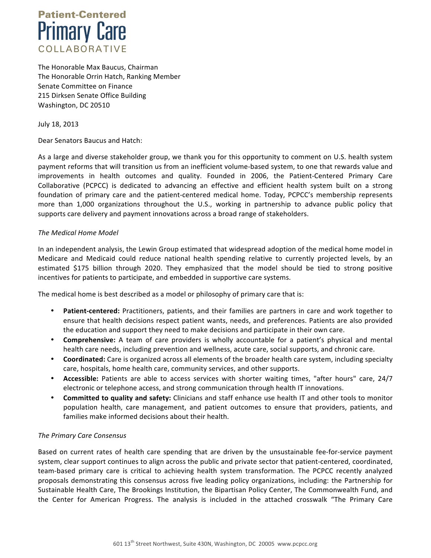

The Honorable Max Baucus, Chairman The Honorable Orrin Hatch, Ranking Member Senate Committee on Finance 215 Dirksen Senate Office Building Washington, DC 20510

July 18, 2013

Dear Senators Baucus and Hatch:

As a large and diverse stakeholder group, we thank you for this opportunity to comment on U.S. health system payment reforms that will transition us from an inefficient volume-based system, to one that rewards value and improvements in health outcomes and quality. Founded in 2006, the Patient-Centered Primary Care Collaborative (PCPCC) is dedicated to advancing an effective and efficient health system built on a strong foundation of primary care and the patient-centered medical home. Today, PCPCC's membership represents more than 1,000 organizations throughout the U.S., working in partnership to advance public policy that supports care delivery and payment innovations across a broad range of stakeholders.

## *The Medical Home Model*

In an independent analysis, the Lewin Group estimated that widespread adoption of the medical home model in Medicare and Medicaid could reduce national health spending relative to currently projected levels, by an estimated \$175 billion through 2020. They emphasized that the model should be tied to strong positive incentives for patients to participate, and embedded in supportive care systems.

The medical home is best described as a model or philosophy of primary care that is:

- Patient-centered: Practitioners, patients, and their families are partners in care and work together to ensure that health decisions respect patient wants, needs, and preferences. Patients are also provided the education and support they need to make decisions and participate in their own care.
- **Comprehensive:** A team of care providers is wholly accountable for a patient's physical and mental health care needs, including prevention and wellness, acute care, social supports, and chronic care.
- **Coordinated:** Care is organized across all elements of the broader health care system, including specialty care, hospitals, home health care, community services, and other supports.
- Accessible: Patients are able to access services with shorter waiting times, "after hours" care, 24/7 electronic or telephone access, and strong communication through health IT innovations.
- **Committed to quality and safety:** Clinicians and staff enhance use health IT and other tools to monitor population health, care management, and patient outcomes to ensure that providers, patients, and families make informed decisions about their health.

## *The Primary Care Consensus*

Based on current rates of health care spending that are driven by the unsustainable fee-for-service payment system, clear support continues to align across the public and private sector that patient-centered, coordinated, team-based primary care is critical to achieving health system transformation. The PCPCC recently analyzed proposals demonstrating this consensus across five leading policy organizations, including: the Partnership for Sustainable Health Care, The Brookings Institution, the Bipartisan Policy Center, The Commonwealth Fund, and the Center for American Progress. The analysis is included in the attached crosswalk "The Primary Care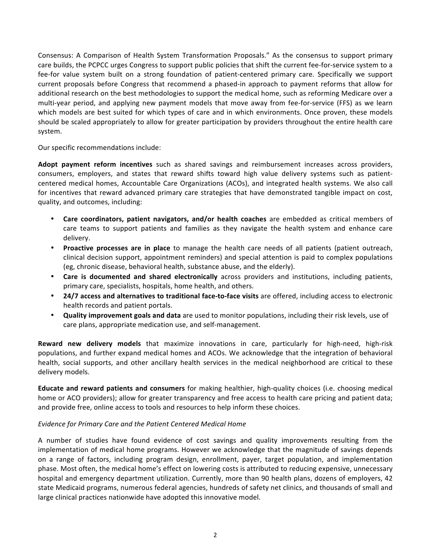Consensus: A Comparison of Health System Transformation Proposals." As the consensus to support primary care builds, the PCPCC urges Congress to support public policies that shift the current fee-for-service system to a fee-for value system built on a strong foundation of patient-centered primary care. Specifically we support current proposals before Congress that recommend a phased-in approach to payment reforms that allow for additional research on the best methodologies to support the medical home, such as reforming Medicare over a multi-year period, and applying new payment models that move away from fee-for-service (FFS) as we learn which models are best suited for which types of care and in which environments. Once proven, these models should be scaled appropriately to allow for greater participation by providers throughout the entire health care system.

Our specific recommendations include:

Adopt payment reform incentives such as shared savings and reimbursement increases across providers, consumers, employers, and states that reward shifts toward high value delivery systems such as patientcentered medical homes, Accountable Care Organizations (ACOs), and integrated health systems. We also call for incentives that reward advanced primary care strategies that have demonstrated tangible impact on cost, quality, and outcomes, including:

- **Care coordinators, patient navigators, and/or health coaches** are embedded as critical members of care teams to support patients and families as they navigate the health system and enhance care delivery.
- **Proactive processes are in place** to manage the health care needs of all patients (patient outreach, clinical decision support, appointment reminders) and special attention is paid to complex populations (eg, chronic disease, behavioral health, substance abuse, and the elderly).
- **Care is documented and shared electronically** across providers and institutions, including patients, primary care, specialists, hospitals, home health, and others.
- **24/7** access and alternatives to traditional face-to-face visits are offered, including access to electronic health records and patient portals.
- **Quality improvement goals and data** are used to monitor populations, including their risk levels, use of care plans, appropriate medication use, and self-management.

**Reward new delivery models** that maximize innovations in care, particularly for high-need, high-risk populations, and further expand medical homes and ACOs. We acknowledge that the integration of behavioral health, social supports, and other ancillary health services in the medical neighborhood are critical to these delivery models.

**Educate and reward patients and consumers** for making healthier, high-quality choices (i.e. choosing medical home or ACO providers); allow for greater transparency and free access to health care pricing and patient data; and provide free, online access to tools and resources to help inform these choices.

## *Evidence for Primary Care and the Patient Centered Medical Home*

A number of studies have found evidence of cost savings and quality improvements resulting from the implementation of medical home programs. However we acknowledge that the magnitude of savings depends on a range of factors, including program design, enrollment, payer, target population, and implementation phase. Most often, the medical home's effect on lowering costs is attributed to reducing expensive, unnecessary hospital and emergency department utilization. Currently, more than 90 health plans, dozens of employers, 42 state Medicaid programs, numerous federal agencies, hundreds of safety net clinics, and thousands of small and large clinical practices nationwide have adopted this innovative model.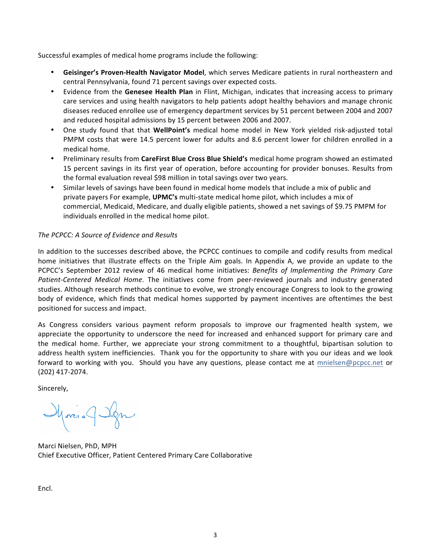Successful examples of medical home programs include the following:

- Geisinger's Proven-Health Navigator Model, which serves Medicare patients in rural northeastern and central Pennsylvania, found 71 percent savings over expected costs.
- Evidence from the **Genesee Health Plan** in Flint, Michigan, indicates that increasing access to primary care services and using health navigators to help patients adopt healthy behaviors and manage chronic diseases reduced enrollee use of emergency department services by 51 percent between 2004 and 2007 and reduced hospital admissions by 15 percent between 2006 and 2007.
- One study found that that **WellPoint's** medical home model in New York yielded risk-adjusted total PMPM costs that were 14.5 percent lower for adults and 8.6 percent lower for children enrolled in a medical home.
- Preliminary results from CareFirst Blue Cross Blue Shield's medical home program showed an estimated 15 percent savings in its first year of operation, before accounting for provider bonuses. Results from the formal evaluation reveal \$98 million in total savings over two years.
- Similar levels of savings have been found in medical home models that include a mix of public and private payers For example, UPMC's multi-state medical home pilot, which includes a mix of commercial, Medicaid, Medicare, and dually eligible patients, showed a net savings of \$9.75 PMPM for individuals enrolled in the medical home pilot.

## *The PCPCC: A Source of Evidence and Results*

In addition to the successes described above, the PCPCC continues to compile and codify results from medical home initiatives that illustrate effects on the Triple Aim goals. In Appendix A, we provide an update to the PCPCC's September 2012 review of 46 medical home initiatives: *Benefits of Implementing the Primary Care* Patient-Centered Medical Home. The initiatives come from peer-reviewed journals and industry generated studies. Although research methods continue to evolve, we strongly encourage Congress to look to the growing body of evidence, which finds that medical homes supported by payment incentives are oftentimes the best positioned for success and impact.

As Congress considers various payment reform proposals to improve our fragmented health system, we appreciate the opportunity to underscore the need for increased and enhanced support for primary care and the medical home. Further, we appreciate your strong commitment to a thoughtful, bipartisan solution to address health system inefficiencies. Thank you for the opportunity to share with you our ideas and we look forward to working with you. Should you have any questions, please contact me at mnielsen@pcpcc.net or (202) 417-2074. 

Sincerely,

Moris & Ign

Marci Nielsen, PhD, MPH Chief Executive Officer, Patient Centered Primary Care Collaborative

Encl.